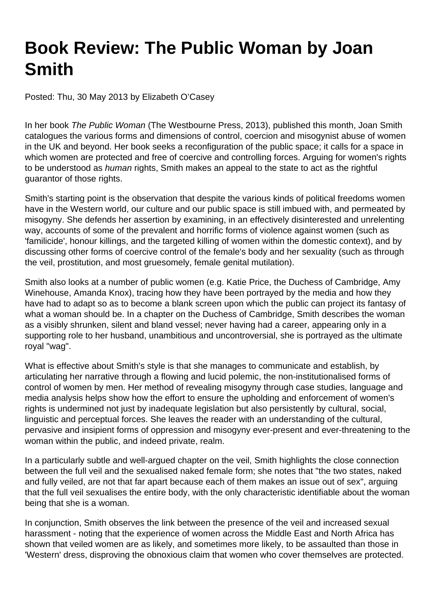## **Book Review: The Public Woman by Joan Smith**

Posted: Thu, 30 May 2013 by Elizabeth O'Casey

In her book The Public Woman (The Westbourne Press, 2013), published this month, Joan Smith catalogues the various forms and dimensions of control, coercion and misogynist abuse of women in the UK and beyond. Her book seeks a reconfiguration of the public space; it calls for a space in which women are protected and free of coercive and controlling forces. Arguing for women's rights to be understood as human rights, Smith makes an appeal to the state to act as the rightful guarantor of those rights.

Smith's starting point is the observation that despite the various kinds of political freedoms women have in the Western world, our culture and our public space is still imbued with, and permeated by misogyny. She defends her assertion by examining, in an effectively disinterested and unrelenting way, accounts of some of the prevalent and horrific forms of violence against women (such as 'familicide', honour killings, and the targeted killing of women within the domestic context), and by discussing other forms of coercive control of the female's body and her sexuality (such as through the veil, prostitution, and most gruesomely, female genital mutilation).

Smith also looks at a number of public women (e.g. Katie Price, the Duchess of Cambridge, Amy Winehouse, Amanda Knox), tracing how they have been portrayed by the media and how they have had to adapt so as to become a blank screen upon which the public can project its fantasy of what a woman should be. In a chapter on the Duchess of Cambridge, Smith describes the woman as a visibly shrunken, silent and bland vessel; never having had a career, appearing only in a supporting role to her husband, unambitious and uncontroversial, she is portrayed as the ultimate royal "wag".

What is effective about Smith's style is that she manages to communicate and establish, by articulating her narrative through a flowing and lucid polemic, the non-institutionalised forms of control of women by men. Her method of revealing misogyny through case studies, language and media analysis helps show how the effort to ensure the upholding and enforcement of women's rights is undermined not just by inadequate legislation but also persistently by cultural, social, linguistic and perceptual forces. She leaves the reader with an understanding of the cultural, pervasive and insipient forms of oppression and misogyny ever-present and ever-threatening to the woman within the public, and indeed private, realm.

In a particularly subtle and well-argued chapter on the veil, Smith highlights the close connection between the full veil and the sexualised naked female form; she notes that "the two states, naked and fully veiled, are not that far apart because each of them makes an issue out of sex", arguing that the full veil sexualises the entire body, with the only characteristic identifiable about the woman being that she is a woman.

In conjunction, Smith observes the link between the presence of the veil and increased sexual harassment - noting that the experience of women across the Middle East and North Africa has shown that veiled women are as likely, and sometimes more likely, to be assaulted than those in 'Western' dress, disproving the obnoxious claim that women who cover themselves are protected.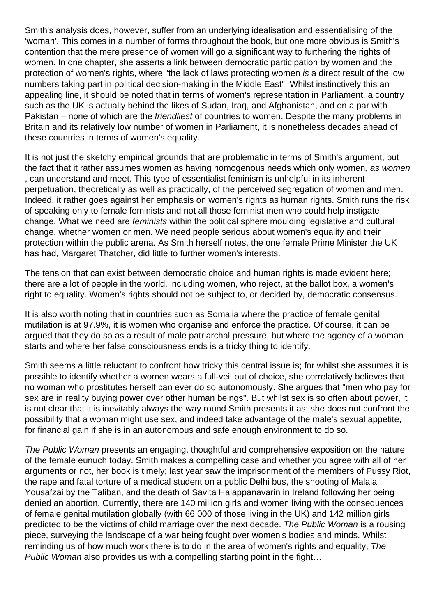Smith's analysis does, however, suffer from an underlying idealisation and essentialising of the 'woman'. This comes in a number of forms throughout the book, but one more obvious is Smith's contention that the mere presence of women will go a significant way to furthering the rights of women. In one chapter, she asserts a link between democratic participation by women and the protection of women's rights, where "the lack of laws protecting women is a direct result of the low numbers taking part in political decision-making in the Middle East". Whilst instinctively this an appealing line, it should be noted that in terms of women's representation in Parliament, a country such as the UK is actually behind the likes of Sudan, Iraq, and Afghanistan, and on a par with Pakistan – none of which are the *friendliest* of countries to women. Despite the many problems in Britain and its relatively low number of women in Parliament, it is nonetheless decades ahead of these countries in terms of women's equality.

It is not just the sketchy empirical grounds that are problematic in terms of Smith's argument, but the fact that it rather assumes women as having homogenous needs which only women, as women , can understand and meet. This type of essentialist feminism is unhelpful in its inherent perpetuation, theoretically as well as practically, of the perceived segregation of women and men. Indeed, it rather goes against her emphasis on women's rights as human rights. Smith runs the risk of speaking only to female feminists and not all those feminist men who could help instigate change. What we need are *feminists* within the political sphere moulding legislative and cultural change, whether women or men. We need people serious about women's equality and their protection within the public arena. As Smith herself notes, the one female Prime Minister the UK has had, Margaret Thatcher, did little to further women's interests.

The tension that can exist between democratic choice and human rights is made evident here; there are a lot of people in the world, including women, who reject, at the ballot box, a women's right to equality. Women's rights should not be subject to, or decided by, democratic consensus.

It is also worth noting that in countries such as Somalia where the practice of female genital mutilation is at 97.9%, it is women who organise and enforce the practice. Of course, it can be argued that they do so as a result of male patriarchal pressure, but where the agency of a woman starts and where her false consciousness ends is a tricky thing to identify.

Smith seems a little reluctant to confront how tricky this central issue is; for whilst she assumes it is possible to identify whether a women wears a full-veil out of choice, she correlatively believes that no woman who prostitutes herself can ever do so autonomously. She argues that "men who pay for sex are in reality buying power over other human beings". But whilst sex is so often about power, it is not clear that it is inevitably always the way round Smith presents it as; she does not confront the possibility that a woman might use sex, and indeed take advantage of the male's sexual appetite, for financial gain if she is in an autonomous and safe enough environment to do so.

The Public Woman presents an engaging, thoughtful and comprehensive exposition on the nature of the female eunuch today. Smith makes a compelling case and whether you agree with all of her arguments or not, her book is timely; last year saw the imprisonment of the members of Pussy Riot, the rape and fatal torture of a medical student on a public Delhi bus, the shooting of Malala Yousafzai by the Taliban, and the death of Savita Halappanavarin in Ireland following her being denied an abortion. Currently, there are 140 million girls and women living with the consequences of female genital mutilation globally (with 66,000 of those living in the UK) and 142 million girls predicted to be the victims of child marriage over the next decade. The Public Woman is a rousing piece, surveying the landscape of a war being fought over women's bodies and minds. Whilst reminding us of how much work there is to do in the area of women's rights and equality, The Public Woman also provides us with a compelling starting point in the fight...